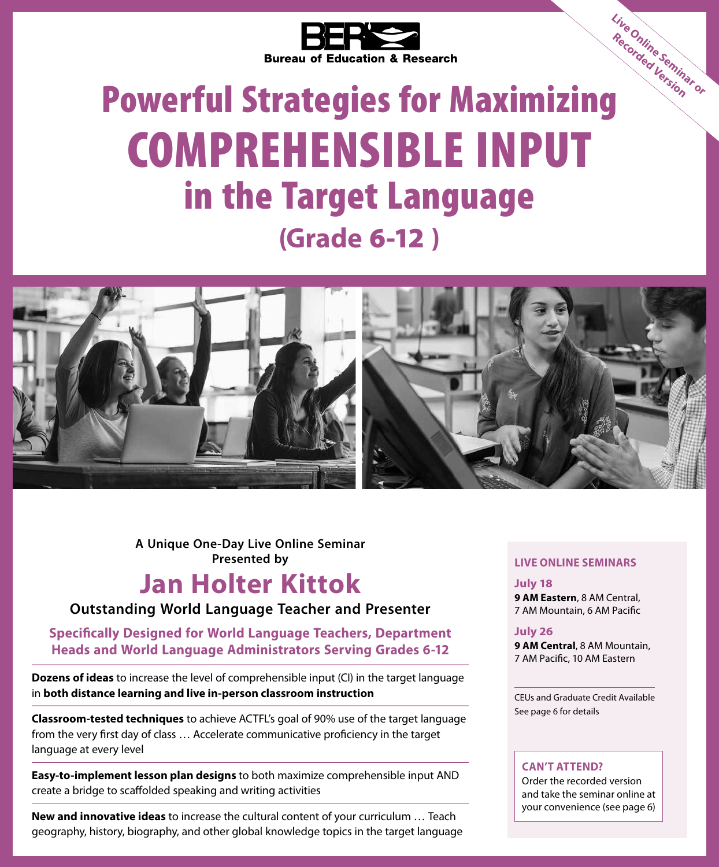

## Bureau of Education & Research<br> **Powerful Strategies for Maximizing** COMPREHENSIBLE INPUT in the Target Language **(Grade** 6-12 **) Live Online Seminar or Recorded Version**



**A Unique One-Day Live Online Seminar Presented by LIVE ONLINE SEMINARS**

### **Jan Holter Kittok**

**Outstanding World Language Teacher and Presenter**

**Specifically Designed for World Language Teachers, Department Heads and World Language Administrators Serving Grades 6-12**

**Dozens of ideas** to increase the level of comprehensible input (CI) in the target language in **both distance learning and live in-person classroom instruction**

**Classroom-tested techniques** to achieve ACTFL's goal of 90% use of the target language from the very first day of class … Accelerate communicative proficiency in the target language at every level

**Easy-to-implement lesson plan designs** to both maximize comprehensible input AND create a bridge to scaffolded speaking and writing activities

**New and innovative ideas** to increase the cultural content of your curriculum … Teach geography, history, biography, and other global knowledge topics in the target language

**July 18 9 AM Eastern**, 8 AM Central, 7 AM Mountain, 6 AM Pacific

**July 26 9 AM Central**, 8 AM Mountain,

7 AM Pacific, 10 AM Eastern

CEUs and Graduate Credit Available See page 6 for details

#### **CAN'T ATTEND?**

Order the recorded version and take the seminar online at your convenience (see page 6)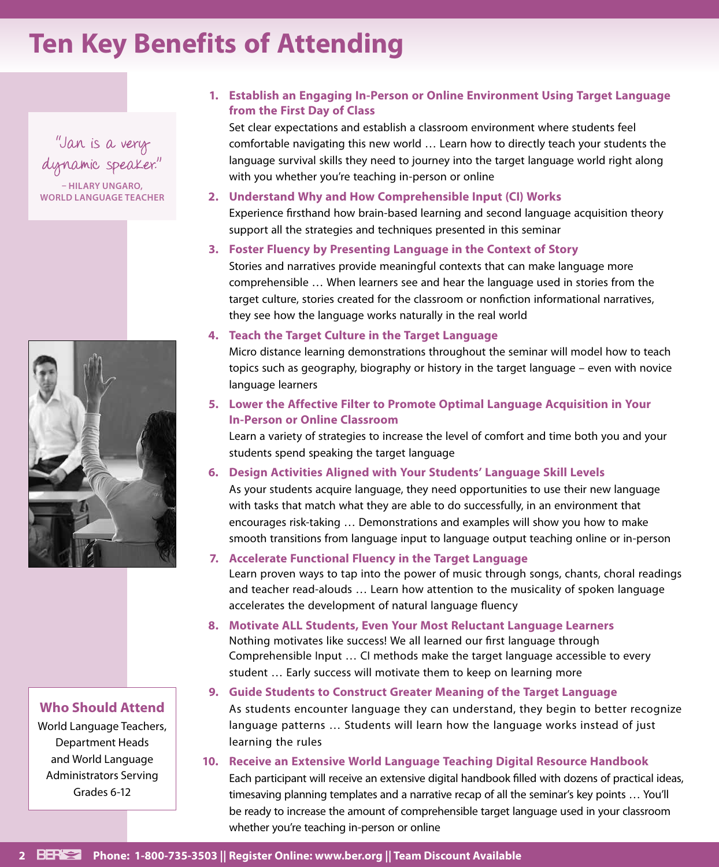### **Ten Key Benefits of Attending**

"Jan is a very dynamic speaker."

**– HILARY UNGARO, WORLD LANGUAGE TEACHER**



#### **Who Should Attend**

World Language Teachers, Department Heads and World Language Administrators Serving Grades 6-12

#### **1. Establish an Engaging In-Person or Online Environment Using Target Language from the First Day of Class**

Set clear expectations and establish a classroom environment where students feel comfortable navigating this new world … Learn how to directly teach your students the language survival skills they need to journey into the target language world right along with you whether you're teaching in-person or online

- **2. Understand Why and How Comprehensible Input (CI) Works** Experience firsthand how brain-based learning and second language acquisition theory support all the strategies and techniques presented in this seminar
- **3. Foster Fluency by Presenting Language in the Context of Story** Stories and narratives provide meaningful contexts that can make language more comprehensible … When learners see and hear the language used in stories from the

target culture, stories created for the classroom or nonfiction informational narratives, they see how the language works naturally in the real world

#### **4. Teach the Target Culture in the Target Language**

Micro distance learning demonstrations throughout the seminar will model how to teach topics such as geography, biography or history in the target language – even with novice language learners

#### **5. Lower the Affective Filter to Promote Optimal Language Acquisition in Your In-Person or Online Classroom**

Learn a variety of strategies to increase the level of comfort and time both you and your students spend speaking the target language

#### **6. Design Activities Aligned with Your Students' Language Skill Levels**

As your students acquire language, they need opportunities to use their new language with tasks that match what they are able to do successfully, in an environment that encourages risk-taking … Demonstrations and examples will show you how to make smooth transitions from language input to language output teaching online or in-person

#### **7. Accelerate Functional Fluency in the Target Language**

Learn proven ways to tap into the power of music through songs, chants, choral readings and teacher read-alouds … Learn how attention to the musicality of spoken language accelerates the development of natural language fluency

**8. Motivate ALL Students, Even Your Most Reluctant Language Learners** Nothing motivates like success! We all learned our first language through Comprehensible Input … CI methods make the target language accessible to every student … Early success will motivate them to keep on learning more

#### **9. Guide Students to Construct Greater Meaning of the Target Language**

As students encounter language they can understand, they begin to better recognize language patterns … Students will learn how the language works instead of just learning the rules

### **10. Receive an Extensive World Language Teaching Digital Resource Handbook**

Each participant will receive an extensive digital handbook filled with dozens of practical ideas, timesaving planning templates and a narrative recap of all the seminar's key points … You'll be ready to increase the amount of comprehensible target language used in your classroom whether you're teaching in-person or online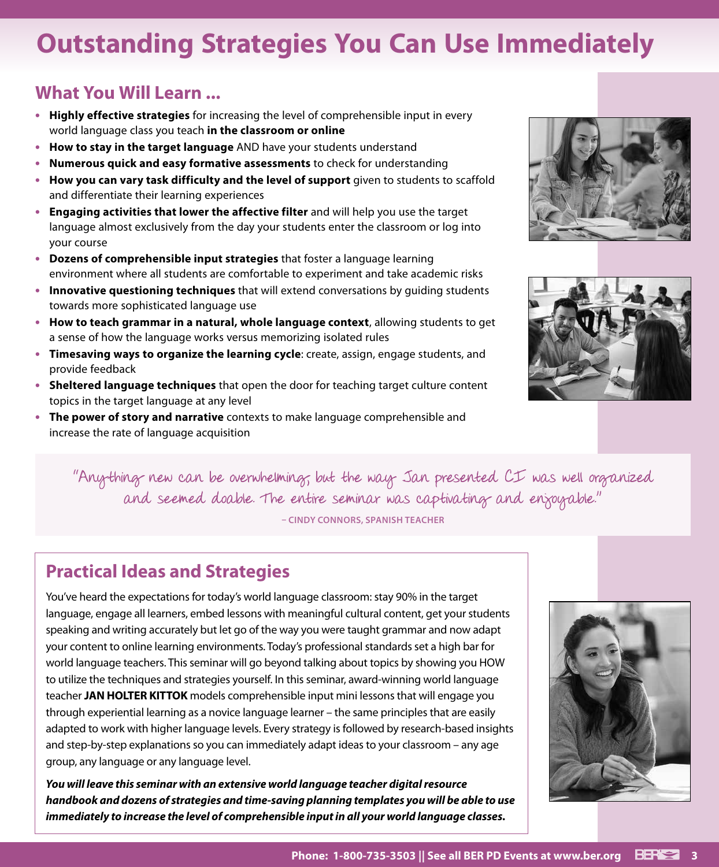### **Outstanding Strategies You Can Use Immediately**

### **What You Will Learn ...**

- **• Highly effective strategies** for increasing the level of comprehensible input in every world language class you teach **in the classroom or online**
- **• How to stay in the target language** AND have your students understand
- **• Numerous quick and easy formative assessments** to check for understanding
- **• How you can vary task difficulty and the level of support** given to students to scaffold and differentiate their learning experiences
- **• Engaging activities that lower the affective filter** and will help you use the target language almost exclusively from the day your students enter the classroom or log into your course
- **• Dozens of comprehensible input strategies** that foster a language learning environment where all students are comfortable to experiment and take academic risks
- **• Innovative questioning techniques** that will extend conversations by guiding students towards more sophisticated language use
- **• How to teach grammar in a natural, whole language context**, allowing students to get a sense of how the language works versus memorizing isolated rules
- **• Timesaving ways to organize the learning cycle**: create, assign, engage students, and provide feedback
- **• Sheltered language techniques** that open the door for teaching target culture content topics in the target language at any level
- **• The power of story and narrative** contexts to make language comprehensible and increase the rate of language acquisition





"Anything new can be overwhelming, but the way Jan presented CI was well organized and seemed doable. The entire seminar was captivating and enjoyable."

**– CINDY CONNORS, SPANISH TEACHER**

### **Practical Ideas and Strategies**

You've heard the expectations for today's world language classroom: stay 90% in the target language, engage all learners, embed lessons with meaningful cultural content, get your students speaking and writing accurately but let go of the way you were taught grammar and now adapt your content to online learning environments. Today's professional standards set a high bar for world language teachers. This seminar will go beyond talking about topics by showing you HOW to utilize the techniques and strategies yourself. In this seminar, award-winning world language teacher **JAN HOLTER KITTOK** models comprehensible input mini lessons that will engage you through experiential learning as a novice language learner – the same principles that are easily adapted to work with higher language levels. Every strategy is followed by research-based insights and step-by-step explanations so you can immediately adapt ideas to your classroom – any age group, any language or any language level.

*You will leave this seminar with an extensive world language teacher digital resource handbook and dozens of strategies and time-saving planning templates you will be able to use immediately to increase the level of comprehensible input in all your world language classes.*

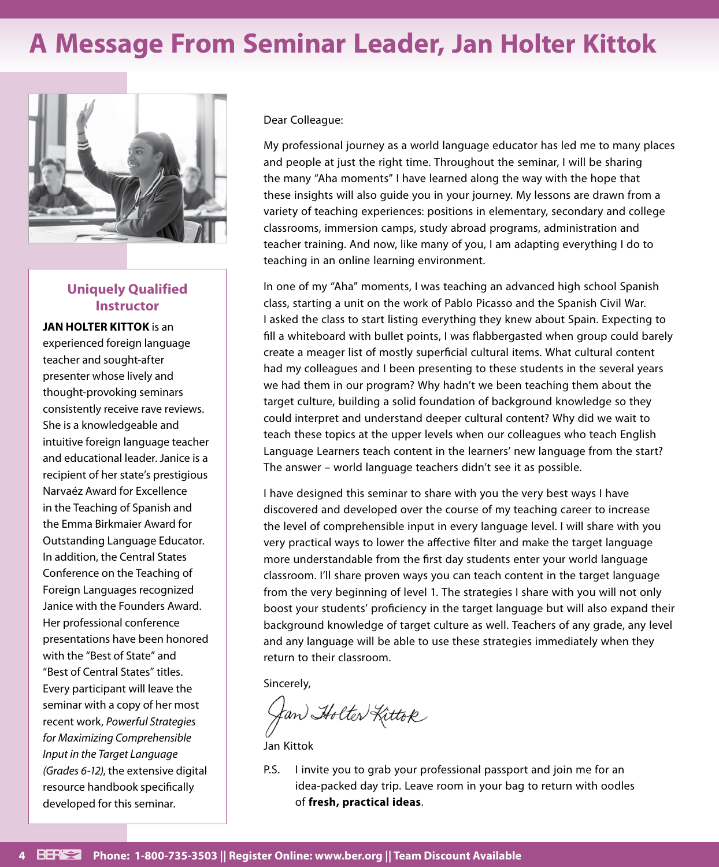### **A Message From Seminar Leader, Jan Holter Kittok**



### **Uniquely Qualified Instructor**

**JAN HOLTER KITTOK** is an experienced foreign language teacher and sought-after presenter whose lively and thought-provoking seminars consistently receive rave reviews. She is a knowledgeable and intuitive foreign language teacher and educational leader. Janice is a recipient of her state's prestigious Narvaéz Award for Excellence in the Teaching of Spanish and the Emma Birkmaier Award for Outstanding Language Educator. In addition, the Central States Conference on the Teaching of Foreign Languages recognized Janice with the Founders Award. Her professional conference presentations have been honored with the "Best of State" and "Best of Central States" titles. Every participant will leave the seminar with a copy of her most recent work, *Powerful Strategies for Maximizing Comprehensible Input in the Target Language (Grades 6-12)*, the extensive digital resource handbook specifically developed for this seminar.

Dear Colleague:

My professional journey as a world language educator has led me to many places and people at just the right time. Throughout the seminar, I will be sharing the many "Aha moments" I have learned along the way with the hope that these insights will also guide you in your journey. My lessons are drawn from a variety of teaching experiences: positions in elementary, secondary and college classrooms, immersion camps, study abroad programs, administration and teacher training. And now, like many of you, I am adapting everything I do to teaching in an online learning environment.

In one of my "Aha" moments, I was teaching an advanced high school Spanish class, starting a unit on the work of Pablo Picasso and the Spanish Civil War. I asked the class to start listing everything they knew about Spain. Expecting to fill a whiteboard with bullet points, I was flabbergasted when group could barely create a meager list of mostly superficial cultural items. What cultural content had my colleagues and I been presenting to these students in the several years we had them in our program? Why hadn't we been teaching them about the target culture, building a solid foundation of background knowledge so they could interpret and understand deeper cultural content? Why did we wait to teach these topics at the upper levels when our colleagues who teach English Language Learners teach content in the learners' new language from the start? The answer – world language teachers didn't see it as possible.

I have designed this seminar to share with you the very best ways I have discovered and developed over the course of my teaching career to increase the level of comprehensible input in every language level. I will share with you very practical ways to lower the affective filter and make the target language more understandable from the first day students enter your world language classroom. I'll share proven ways you can teach content in the target language from the very beginning of level 1. The strategies I share with you will not only boost your students' proficiency in the target language but will also expand their background knowledge of target culture as well. Teachers of any grade, any level and any language will be able to use these strategies immediately when they return to their classroom.

Sincerely,

Jan Holter Kittok

Jan Kittok

P.S. I invite you to grab your professional passport and join me for an idea-packed day trip. Leave room in your bag to return with oodles of **fresh, practical ideas**.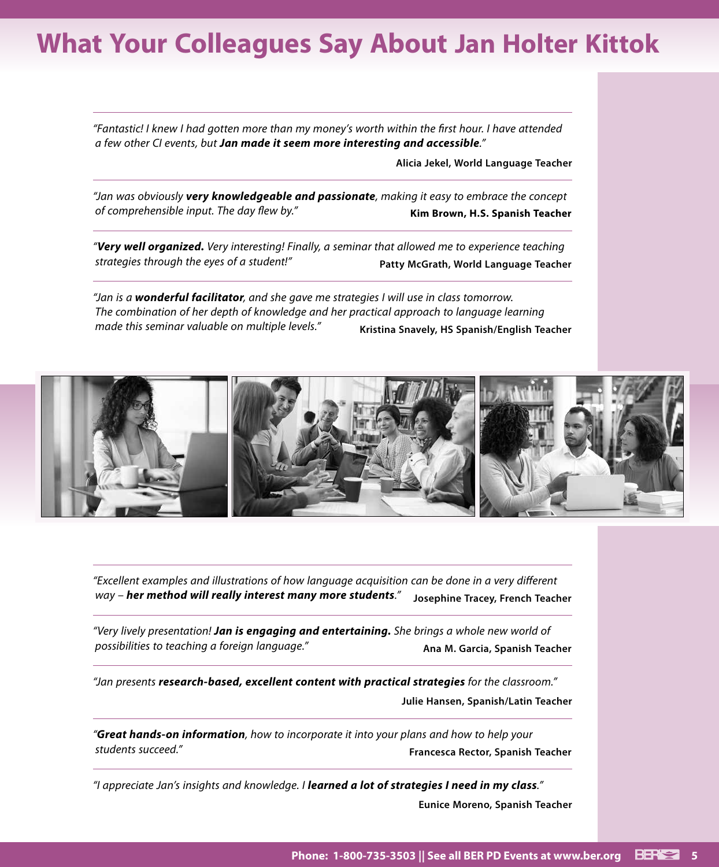### **What Your Colleagues Say About Jan Holter Kittok**

*"Fantastic! I knew I had gotten more than my money's worth within the first hour. I have attended a few other CI events, but Jan made it seem more interesting and accessible."*

**Alicia Jekel, World Language Teacher**

*"Jan was obviously very knowledgeable and passionate, making it easy to embrace the concept of comprehensible input. The day flew by."* **Kim Brown, H.S. Spanish Teacher**

*"Very well organized. Very interesting! Finally, a seminar that allowed me to experience teaching strategies through the eyes of a student!"* **Patty McGrath, World Language Teacher**

*"Jan is a wonderful facilitator, and she gave me strategies I will use in class tomorrow. The combination of her depth of knowledge and her practical approach to language learning made this seminar valuable on multiple levels."* **Kristina Snavely, HS Spanish/English Teacher**



*"Excellent examples and illustrations of how language acquisition can be done in a very different way – her method will really interest many more students."* **Josephine Tracey, French Teacher**

*"Very lively presentation! Jan is engaging and entertaining. She brings a whole new world of possibilities to teaching a foreign language."* **Ana M. Garcia, Spanish Teacher**

*"Jan presents research-based, excellent content with practical strategies for the classroom."* **Julie Hansen, Spanish/Latin Teacher**

*"Great hands-on information, how to incorporate it into your plans and how to help your students succeed."* **Francesca Rector, Spanish Teacher**

*"I appreciate Jan's insights and knowledge. I learned a lot of strategies I need in my class."* **Eunice Moreno, Spanish Teacher**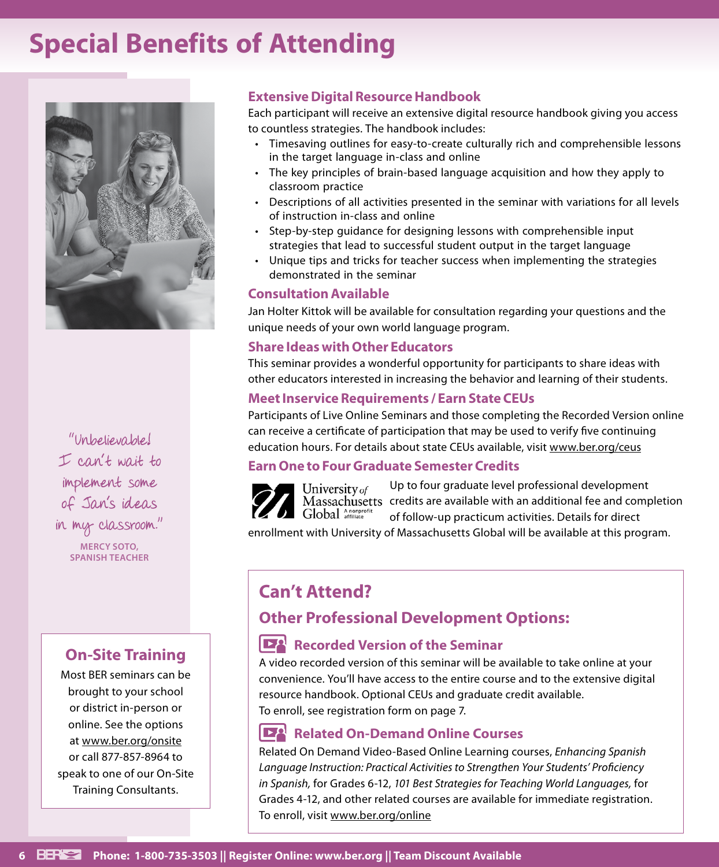### **Special Benefits of Attending**



"Unbelievable! I can't wait to implement some of Jan's ideas in my classroom." **MERCY SOTO, SPANISH TEACHER**

### **On-Site Training**

Most BER seminars can be brought to your school or district in-person or online. See the options at www.ber.org/onsite or call 877-857-8964 to speak to one of our On-Site Training Consultants.

### **Extensive Digital Resource Handbook**

Each participant will receive an extensive digital resource handbook giving you access to countless strategies. The handbook includes:

- Timesaving outlines for easy-to-create culturally rich and comprehensible lessons in the target language in-class and online
- The key principles of brain-based language acquisition and how they apply to classroom practice
- Descriptions of all activities presented in the seminar with variations for all levels of instruction in-class and online
- Step-by-step guidance for designing lessons with comprehensible input strategies that lead to successful student output in the target language
- Unique tips and tricks for teacher success when implementing the strategies demonstrated in the seminar

### **Consultation Available**

Jan Holter Kittok will be available for consultation regarding your questions and the unique needs of your own world language program.

### **Share Ideas with Other Educators**

This seminar provides a wonderful opportunity for participants to share ideas with other educators interested in increasing the behavior and learning of their students.

### **Meet Inservice Requirements / Earn State CEUs**

Participants of Live Online Seminars and those completing the Recorded Version online can receive a certificate of participation that may be used to verify five continuing education hours. For details about state CEUs available, visit www.ber.org/ceus

### **Earn One to Four Graduate Semester Credits**

Up to four graduate level professional development University of Massachusetts credits are available with an additional fee and completion Global Anonprofit of follow-up practicum activities. Details for direct

enrollment with University of Massachusetts Global will be available at this program.

### **Can't Attend?**

### **Other Professional Development Options:**

### **Recorded Version of the Seminar**

A video recorded version of this seminar will be available to take online at your convenience. You'll have access to the entire course and to the extensive digital resource handbook. Optional CEUs and graduate credit available. To enroll, see registration form on page 7.

### **Related On-Demand Online Courses**

Related On Demand Video-Based Online Learning courses, *Enhancing Spanish Language Instruction: Practical Activities to Strengthen Your Students' Proficiency in Spanish,* for Grades 6-12, *101 Best Strategies for Teaching World Languages,* for Grades 4-12, and other related courses are available for immediate registration. To enroll, visit www.ber.org/online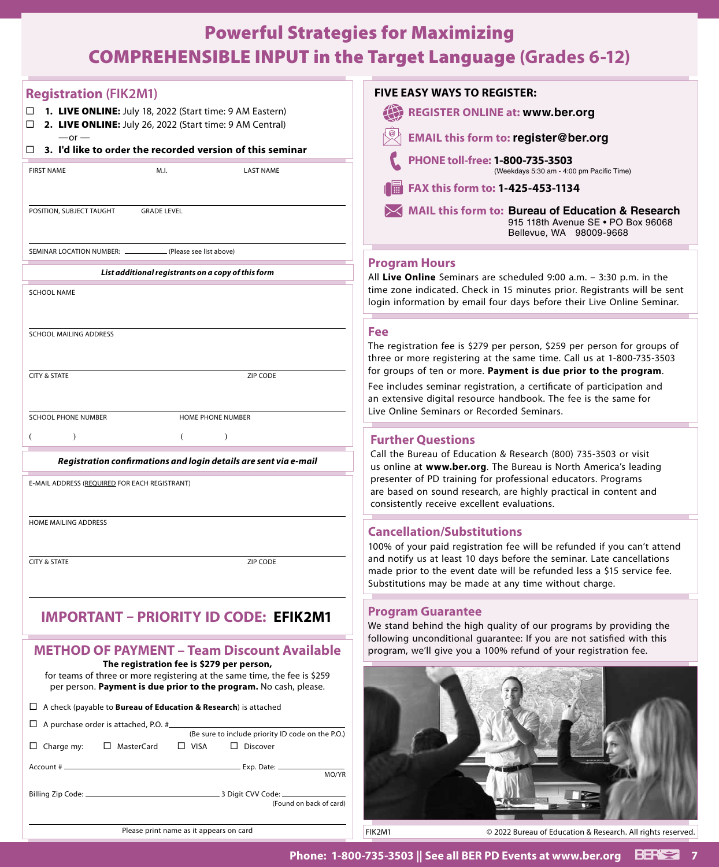### Powerful Strategies for Maximizing COMPREHENSIBLE INPUT in the Target Language **(Grades 6-12)**

| <b>Registration (FIK2M1)</b>                                                                                              | <b>FIVE EASY WAYS TO REGISTER:</b>                                                                                                                 |
|---------------------------------------------------------------------------------------------------------------------------|----------------------------------------------------------------------------------------------------------------------------------------------------|
| 1. LIVE ONLINE: July 18, 2022 (Start time: 9 AM Eastern)<br>2. LIVE ONLINE: July 26, 2022 (Start time: 9 AM Central)<br>□ | <b>REGISTER ONLINE at: www.ber.org</b>                                                                                                             |
| $-$ or $-$<br>3. I'd like to order the recorded version of this seminar                                                   | <b>EMAIL this form to: register@ber.org</b>                                                                                                        |
| <b>FIRST NAME</b><br>M.I.<br><b>LAST NAME</b>                                                                             | PHONE toll-free: 1-800-735-3503<br>(Weekdays 5:30 am - 4:00 pm Pacific Time)                                                                       |
|                                                                                                                           | FAX this form to: 1-425-453-1134                                                                                                                   |
| POSITION, SUBJECT TAUGHT<br><b>GRADE LEVEL</b>                                                                            | <b>MAIL this form to: Bureau of Education &amp; Research</b><br>915 118th Avenue SE . PO Box 96068<br>Bellevue, WA 98009-9668                      |
| SEMINAR LOCATION NUMBER: _<br>(Please see list above)                                                                     | <b>Program Hours</b>                                                                                                                               |
| List additional registrants on a copy of this form                                                                        | All Live Online Seminars are scheduled 9:00 a.m. - 3:30 p.m. in the                                                                                |
| <b>SCHOOL NAME</b>                                                                                                        | time zone indicated. Check in 15 minutes prior. Registrants will be sent<br>login information by email four days before their Live Online Seminar. |
| <b>SCHOOL MAILING ADDRESS</b>                                                                                             | Fee                                                                                                                                                |
|                                                                                                                           | The registration fee is \$279 per person, \$259 per person for groups of<br>three or more registering at the same time. Call us at 1-800-735-3503  |
| <b>CITY &amp; STATE</b><br><b>ZIP CODE</b>                                                                                | for groups of ten or more. Payment is due prior to the program.                                                                                    |
|                                                                                                                           | Fee includes seminar registration, a certificate of participation and<br>an extensive digital resource handbook. The fee is the same for           |
| <b>SCHOOL PHONE NUMBER</b><br>HOME PHONE NUMBER                                                                           | Live Online Seminars or Recorded Seminars.                                                                                                         |
|                                                                                                                           | <b>Further Questions</b>                                                                                                                           |
| Registration confirmations and login details are sent via e-mail                                                          | Call the Bureau of Education & Research (800) 735-3503 or visit                                                                                    |
| E-MAIL ADDRESS (REQUIRED FOR EACH REGISTRANT)                                                                             | us online at www.ber.org. The Bureau is North America's leading<br>presenter of PD training for professional educators. Programs                   |
|                                                                                                                           | are based on sound research, are highly practical in content and<br>consistently receive excellent evaluations.                                    |
| <b>HOME MAILING ADDRESS</b>                                                                                               |                                                                                                                                                    |
|                                                                                                                           | <b>Cancellation/Substitutions</b><br>100% of your paid registration fee will be refunded if you can't attend                                       |
| <b>CITY &amp; STATE</b><br>ZIP CODE                                                                                       | and notify us at least 10 days before the seminar. Late cancellations<br>made prior to the event date will be refunded less a \$15 service fee.    |
|                                                                                                                           | Substitutions may be made at any time without charge.                                                                                              |
| <b>IMPORTANT - PRIORITY ID CODE: EFIK2M1</b>                                                                              | <b>Program Guarantee</b>                                                                                                                           |
|                                                                                                                           | We stand behind the high quality of our programs by providing the<br>following unconditional guarantee: If you are not satisfied with this         |
| <b>METHOD OF PAYMENT - Team Discount Available</b>                                                                        | program, we'll give you a 100% refund of your registration fee.                                                                                    |
| The registration fee is \$279 per person,<br>for teams of three or more registering at the same time, the fee is \$259    |                                                                                                                                                    |
| per person. Payment is due prior to the program. No cash, please.                                                         |                                                                                                                                                    |
| $\Box$ A check (payable to <b>Bureau of Education &amp; Research</b> ) is attached                                        |                                                                                                                                                    |
| $\Box$ A purchase order is attached, P.O. # $\Box$<br>(Be sure to include priority ID code on the P.O.)                   |                                                                                                                                                    |
| □ MasterCard<br>$\Box$ VISA<br>$\Box$ Discover<br>$\Box$ Charge my:                                                       |                                                                                                                                                    |
| MO/YR                                                                                                                     |                                                                                                                                                    |
| (Found on back of card)                                                                                                   |                                                                                                                                                    |
|                                                                                                                           |                                                                                                                                                    |
| Please print name as it appears on card                                                                                   | FIK2M1<br>© 2022 Bureau of Education & Research. All rights reserved.                                                                              |